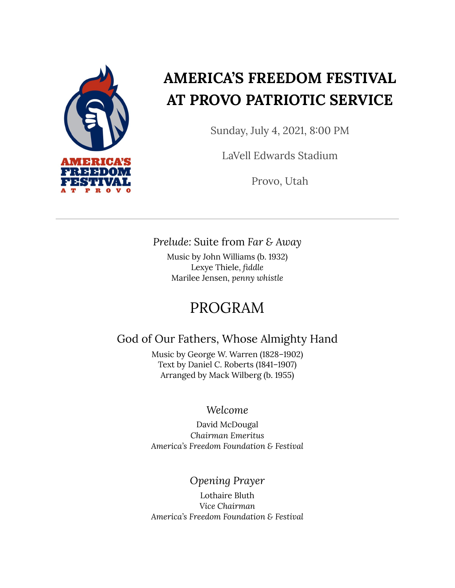

## **AMERICA'S FREEDOM FESTIVAL AT PROVO PATRIOTIC SERVICE**

Sunday, July 4, 2021, 8:00 PM

LaVell Edwards Stadium

Provo, Utah

### *Prelude:* Suite from *Far & Away*

Music by John Williams (b. 1932) Lexye Thiele, *fiddle* Marilee Jensen, *penny whistle*

### PROGRAM

### God of Our Fathers, Whose Almighty Hand

Music by George W. Warren (1828–1902) Text by Daniel C. Roberts (1841–1907) Arranged by Mack Wilberg (b. 1955)

### *Welcome*

David McDougal *Chairman Emeritus America's Freedom Foundation & Festival*

*Opening Prayer*

Lothaire Bluth *Vice Chairman America's Freedom Foundation & Festival*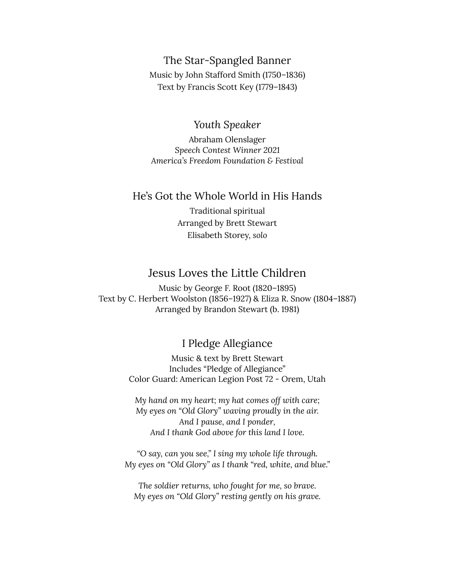#### The Star-Spangled Banner

Music by John Stafford Smith (1750–1836) Text by Francis Scott Key (1779–1843)

#### *Youth Speaker*

Abraham Olenslager *Speech Contest Winner 2021 America's Freedom Foundation & Festival*

#### He's Got the Whole World in His Hands

Traditional spiritual Arranged by Brett Stewart Elisabeth Storey, *solo*

### Jesus Loves the Little Children

Music by George F. Root (1820–1895) Text by C. Herbert Woolston (1856–1927) & Eliza R. Snow (1804–1887) Arranged by Brandon Stewart (b. 1981)

### I Pledge Allegiance

Music & text by Brett Stewart Includes "Pledge of Allegiance" Color Guard: American Legion Post 72 - Orem, Utah

*My hand on my heart; my hat comes off with care; My eyes on "Old Glory" waving proudly in the air. And I pause, and I ponder, And I thank God above for this land I love.*

*"O say, can you see," I sing my whole life through. My eyes on "Old Glory" as I thank "red, white, and blue."*

*The soldier returns, who fought for me, so brave. My eyes on "Old Glory" resting gently on his grave.*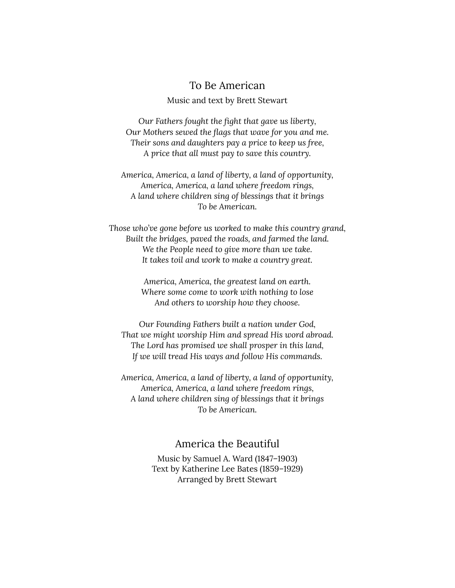#### To Be American

#### Music and text by Brett Stewart

*Our Fathers fought the fight that gave us liberty, Our Mothers sewed the flags that wave for you and me. Their sons and daughters pay a price to keep us free, A price that all must pay to save this country.*

*America, America, a land of liberty, a land of opportunity, America, America, a land where freedom rings, A land where children sing of blessings that it brings To be American.*

*Those who've gone before us worked to make this country grand, Built the bridges, paved the roads, and farmed the land. We the People need to give more than we take. It takes toil and work to make a country great.*

> *America, America, the greatest land on earth. Where some come to work with nothing to lose And others to worship how they choose.*

*Our Founding Fathers built a nation under God, That we might worship Him and spread His word abroad. The Lord has promised we shall prosper in this land, If we will tread His ways and follow His commands.*

*America, America, a land of liberty, a land of opportunity, America, America, a land where freedom rings, A land where children sing of blessings that it brings To be American.*

#### America the Beautiful

Music by Samuel A. Ward (1847–1903) Text by Katherine Lee Bates (1859–1929) Arranged by Brett Stewart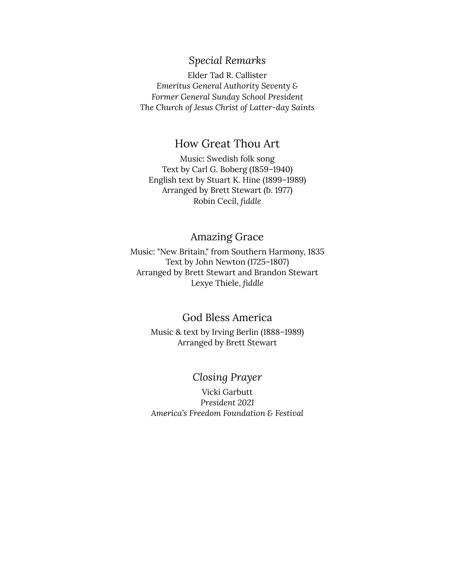### *Special Remarks*

Elder Tad R. Callister *Emeritus General Authority Seventy & Former General Sunday School President The Church of Jesus Christ of Latter-day Saints*

### How Great Thou Art

Music: Swedish folk song Text by Carl G. Boberg (1859–1940) English text by Stuart K. Hine (1899–1989) Arranged by Brett Stewart (b. 1977) Robin Cecil, *fiddle*

### Amazing Grace

Music: "New Britain," from Southern Harmony, 1835 Text by John Newton (1725–1807) Arranged by Brett Stewart and Brandon Stewart Lexye Thiele, *fiddle*

### God Bless America

Music & text by Irving Berlin (1888–1989) Arranged by Brett Stewart

### *Closing Prayer*

Vicki Garbutt *President 2021 America's Freedom Foundation & Festival*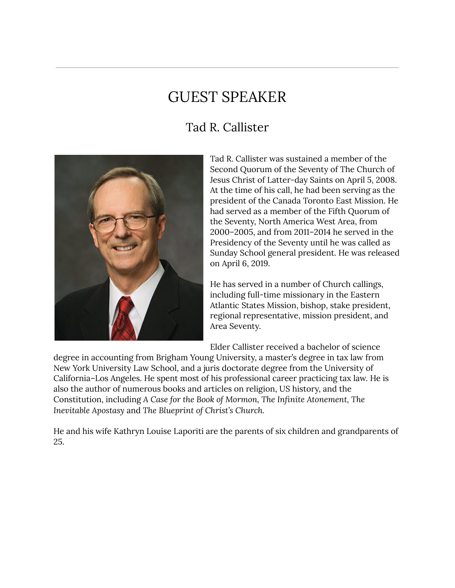### GUEST SPEAKER

### Tad R. Callister



Tad R. Callister was sustained a member of the Second Quorum of the Seventy of The Church of Jesus Christ of Latter-day Saints on April 5, 2008. At the time of his call, he had been serving as the president of the Canada Toronto East Mission. He had served as a member of the Fifth Quorum of the Seventy, North America West Area, from 2000–2005, and from 2011–2014 he served in the Presidency of the Seventy until he was called as Sunday School general president. He was released on April 6, 2019.

He has served in a number of Church callings, including full-time missionary in the Eastern Atlantic States Mission, bishop, stake president, regional representative, mission president, and Area Seventy.

Elder Callister received a bachelor of science

degree in accounting from Brigham Young University, a master's degree in tax law from New York University Law School, and a juris doctorate degree from the University of California–Los Angeles. He spent most of his professional career practicing tax law. He is also the author of numerous books and articles on religion, US history, and the Constitution, including *A Case for the Book of Mormon, The Infinite Atonement, The Inevitable Apostasy* and *The Blueprint of Christ's Church.*

He and his wife Kathryn Louise Laporiti are the parents of six children and grandparents of 25.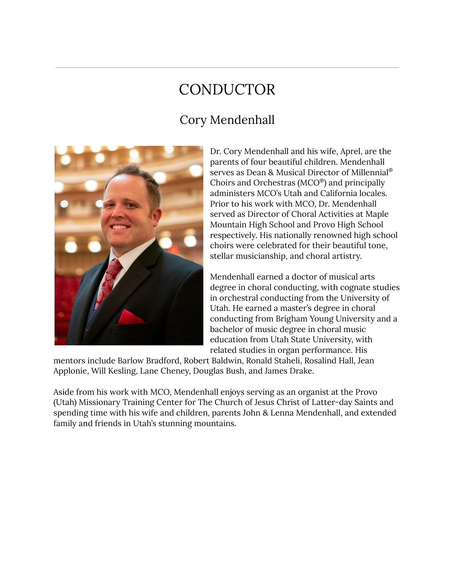## **CONDUCTOR**

### Cory Mendenhall



Dr. Cory Mendenhall and his wife, Aprel, are the parents of four beautiful children. Mendenhall serves as Dean & Musical Director of Millennial ® Choirs and Orchestras (MCO ® ) and principally administers MCO's Utah and California locales. Prior to his work with MCO, Dr. Mendenhall served as Director of Choral Activities at Maple Mountain High School and Provo High School respectively. His nationally renowned high school choirs were celebrated for their beautiful tone, stellar musicianship, and choral artistry.

Mendenhall earned a doctor of musical arts degree in choral conducting, with cognate studies in orchestral conducting from the University of Utah. He earned a master's degree in choral conducting from Brigham Young University and a bachelor of music degree in choral music education from Utah State University, with related studies in organ performance. His

mentors include Barlow Bradford, Robert Baldwin, Ronald Staheli, Rosalind Hall, Jean Applonie, Will Kesling, Lane Cheney, Douglas Bush, and James Drake.

Aside from his work with MCO, Mendenhall enjoys serving as an organist at the Provo (Utah) Missionary Training Center for The Church of Jesus Christ of Latter-day Saints and spending time with his wife and children, parents John & Lenna Mendenhall, and extended family and friends in Utah's stunning mountains.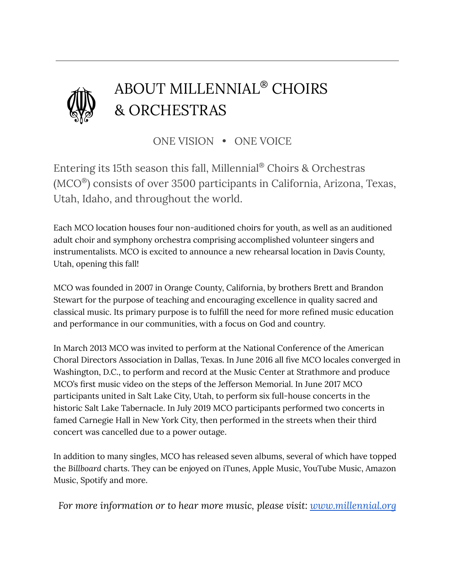

# ABOUT MILLENNIAL ® CHOIRS & ORCHESTRAS

ONE VISION • ONE VOICE

Entering its 15th season this fall, Millennial ® Choirs & Orchestras (MCO ® ) consists of over 3500 participants in California, Arizona, Texas, Utah, Idaho, and throughout the world.

Each MCO location houses four non-auditioned choirs for youth, as well as an auditioned adult choir and symphony orchestra comprising accomplished volunteer singers and instrumentalists. MCO is excited to announce a new rehearsal location in Davis County, Utah, opening this fall!

MCO was founded in 2007 in Orange County, California, by brothers Brett and Brandon Stewart for the purpose of teaching and encouraging excellence in quality sacred and classical music. Its primary purpose is to fulfill the need for more refined music education and performance in our communities, with a focus on God and country.

In March 2013 MCO was invited to perform at the National Conference of the American Choral Directors Association in Dallas, Texas. In June 2016 all five MCO locales converged in Washington, D.C., to perform and record at the Music Center at Strathmore and produce MCO's first music video on the steps of the Jefferson Memorial. In June 2017 MCO participants united in Salt Lake City, Utah, to perform six full-house concerts in the historic Salt Lake Tabernacle. In July 2019 MCO participants performed two concerts in famed Carnegie Hall in New York City, then performed in the streets when their third concert was cancelled due to a power outage.

In addition to many singles, MCO has released seven albums, several of which have topped the *Billboard* charts. They can be enjoyed on iTunes, Apple Music, YouTube Music, Amazon Music, Spotify and more.

*For more information or to hear more music, please visit: [www.millennial.org](http://www.millennial.org)*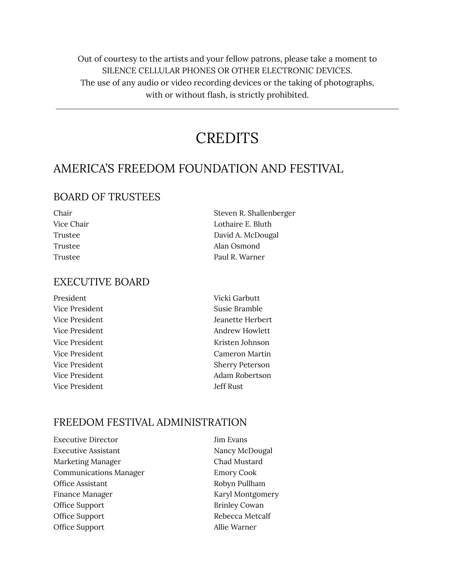Out of courtesy to the artists and your fellow patrons, please take a moment to SILENCE CELLULAR PHONES OR OTHER ELECTRONIC DEVICES. The use of any audio or video recording devices or the taking of photographs, with or without flash, is strictly prohibited.

### **CREDITS**

### AMERICA'S FREEDOM FOUNDATION AND FESTIVAL

### BOARD OF TRUSTEES

| Chair      | Steven R. Shallenberger |
|------------|-------------------------|
| Vice Chair | Lothaire E. Bluth       |
| Trustee    | David A. McDougal       |
| Trustee    | Alan Osmond             |
| Trustee    | Paul R. Warner          |
|            |                         |

### EXECUTIVE BOARD

| President      | Vicki Garbutt          |
|----------------|------------------------|
| Vice President | Susie Bramble          |
| Vice President | Jeanette Herbert       |
| Vice President | Andrew Howlett         |
| Vice President | Kristen Johnson        |
| Vice President | Cameron Martin         |
| Vice President | <b>Sherry Peterson</b> |
| Vice President | Adam Robertson         |
| Vice President | Jeff Rust              |
|                |                        |

#### FREEDOM FESTIVAL ADMINISTRATION

| <b>Executive Director</b>     | Jim Evans            |
|-------------------------------|----------------------|
| Executive Assistant           | Nancy McDougal       |
| Marketing Manager             | Chad Mustard         |
| <b>Communications Manager</b> | <b>Emory Cook</b>    |
| <b>Office Assistant</b>       | Robyn Pullham        |
| Finance Manager               | Karyl Montgomery     |
| Office Support                | <b>Brinley Cowan</b> |
| Office Support                | Rebecca Metcalf      |
| Office Support                | Allie Warner         |
|                               |                      |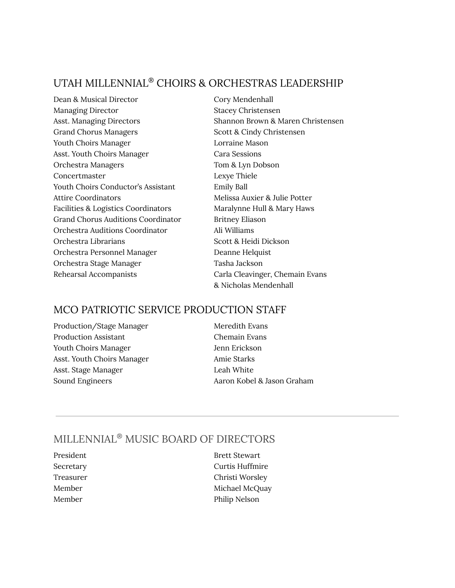### UTAH MILLENNIAL ® CHOIRS & ORCHESTRAS LEADERSHIP

Dean & Musical Director Cory Mendenhall Managing Director Stacey Christensen Grand Chorus Managers Scott & Cindy Christensen Youth Choirs Manager **Lorraine Mason** Asst. Youth Choirs Manager Cara Sessions Orchestra Managers Tom & Lyn Dobson Concertmaster Lexye Thiele Youth Choirs Conductor's Assistant Emily Ball Attire Coordinators The Melissa Auxier & Julie Potter Facilities & Logistics Coordinators Maralynne Hull & Mary Haws Grand Chorus Auditions Coordinator Britney Eliason Orchestra Auditions Coordinator Ali Williams Orchestra Librarians Scott & Heidi Dickson Orchestra Personnel Manager Deanne Helquist Orchestra Stage Manager Tasha Jackson Rehearsal Accompanists Carla Cleavinger, Chemain Evans

Asst. Managing Directors Shannon Brown & Maren Christensen & Nicholas Mendenhall

### MCO PATRIOTIC SERVICE PRODUCTION STAFF

Production/Stage Manager Meredith Evans Production Assistant Chemain Evans Youth Choirs Manager Jenn Erickson Asst. Youth Choirs Manager Amie Starks Asst. Stage Manager **Leah White** Sound Engineers **Aaron Kobel & Jason Graham** 

### MILLENNIAL ® MUSIC BOARD OF DIRECTORS

- 
- President Brett Stewart Secretary Curtis Huffmire Treasurer Christi Worsley Member Michael McQuay Member Philip Nelson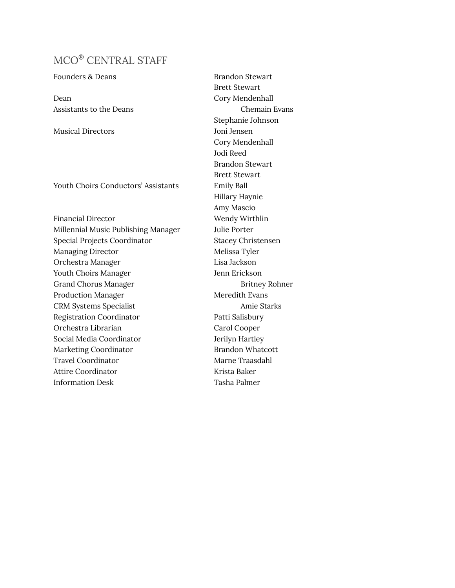### MCO ® CENTRAL STAFF

Founders & Deans Brandon Stewart

Dean Cory Mendenhall

Musical Directors Joni Jensen

Youth Choirs Conductors' Assistants Emily Ball

Financial Director Wendy Wirthlin Millennial Music Publishing Manager Julie Porter Special Projects Coordinator Stacey Christensen Managing Director Melissa Tyler Orchestra Manager Lisa Jackson Youth Choirs Manager **Jenn Erickson** Grand Chorus Manager Britney Rohner Production Manager Meredith Evans CRM Systems Specialist Amie Starks Registration Coordinator Patti Salisbury Orchestra Librarian Carol Cooper Social Media Coordinator **Jerilyn Hartley** Marketing Coordinator **Brandon Whatcott** Travel Coordinator **Marne Traasdahl** Attire Coordinator **Krista Baker** Information Desk Tasha Palmer

Brett Stewart Assistants to the Deans Chemain Evans Stephanie Johnson Cory Mendenhall Jodi Reed Brandon Stewart Brett Stewart Hillary Haynie Amy Mascio